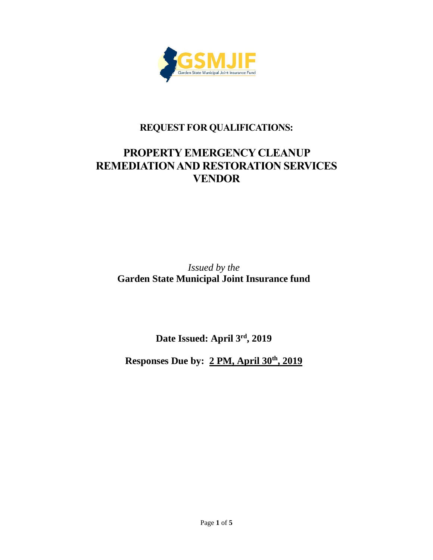

## **REQUESTFOR QUALIFICATIONS:**

# **PROPERTY EMERGENCY CLEANUP REMEDIATION AND RESTORATION SERVICES VENDOR**

*Issued by the* **Garden State Municipal Joint Insurance fund**

**Date Issued: April 3 rd, 2019**

**Responses Due by: 2 PM, April 30th , 2019**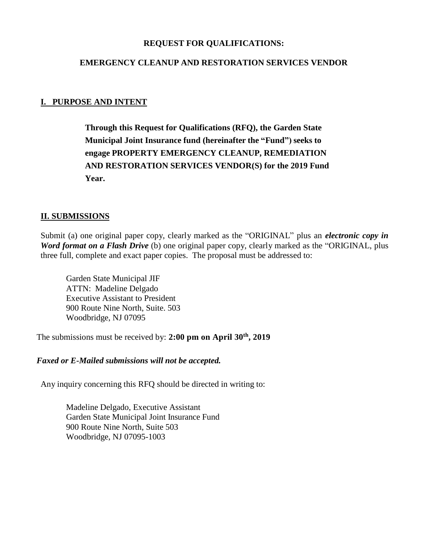#### **REQUEST FOR QUALIFICATIONS:**

#### **EMERGENCY CLEANUP AND RESTORATION SERVICES VENDOR**

### **I. PURPOSE AND INTENT**

**Through this Request for Qualifications (RFQ), the Garden State Municipal Joint Insurance fund (hereinafter the "Fund") seeks to engage PROPERTY EMERGENCY CLEANUP, REMEDIATION AND RESTORATION SERVICES VENDOR(S) for the 2019 Fund Year.**

#### **II. SUBMISSIONS**

Submit (a) one original paper copy, clearly marked as the "ORIGINAL" plus an *electronic copy in Word format on a Flash Drive* (b) one original paper copy, clearly marked as the "ORIGINAL, plus three full, complete and exact paper copies. The proposal must be addressed to:

Garden State Municipal JIF ATTN: Madeline Delgado Executive Assistant to President 900 Route Nine North, Suite. 503 Woodbridge, NJ 07095

The submissions must be received by: **2:00 pm on April 30th, 2019**

#### *Faxed or E-Mailed submissions will not be accepted.*

Any inquiry concerning this RFQ should be directed in writing to:

Madeline Delgado, Executive Assistant Garden State Municipal Joint Insurance Fund 900 Route Nine North, Suite 503 Woodbridge, NJ 07095-1003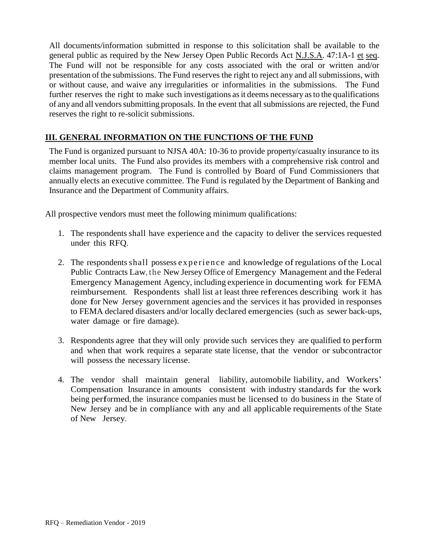All documents/information submitted in response to this solicitation shall be available to the general public as required by the New Jersey Open Public Records Act N.J.S.A. 47:1A-1 et seq. The Fund will not be responsible for any costs associated with the oral or written and/or presentation of the submissions. The Fund reserves the right to reject any and all submissions, with or without cause, and waive any irregularities or informalities in the submissions. The Fund further reserves the right to make such investigations as it deems necessary as to the qualifications of any and all vendors submitting proposals. In the event that all submissions are rejected, the Fund reserves the right to re-solicit submissions.

## **III. GENERAL INFORMATION ON THE FUNCTIONS OF THE FUND**

The Fund is organized pursuant to NJSA 40A: 10-36 to provide property/casualty insurance to its member local units. The Fund also provides its members with a comprehensive risk control and claims management program. The Fund is controlled by Board of Fund Commissioners that annually elects an executive committee. The Fund is regulated by the Department of Banking and Insurance and the Department of Community affairs.

All prospective vendors must meet the following minimum qualifications:

- 1. The respondents shall have experience and the capacity to deliver the services requested under this RFQ.
- 2. The respondents shall possess experience and knowledge of regulations of the Local Public Contracts Law, the New Jersey Office of Emergency Management and the Federal Emergency Management Agency, including experience in documenting work for FEMA reimbursement. Respondents shall list at least three references describing work it has done for New Jersey government agencies and the services it has provided in responses to FEMA declared disasters and/or locally declared emergencies (such as sewer back-ups, water damage or fire damage).
- 3. Respondents agree that they will only provide such services they are qualified to perform and when that work requires a separate state license, that the vendor or subcontractor will possess the necessary license.
- 4. The vendor shall maintain general liability, automobile liability, and Workers' Compensation Insurance in amounts consistent with industry standards for the work being performed, the insurance companies must be licensed to do business in the State of New Jersey and be in compliance with any and all applicable requirements of the State of New Jersey.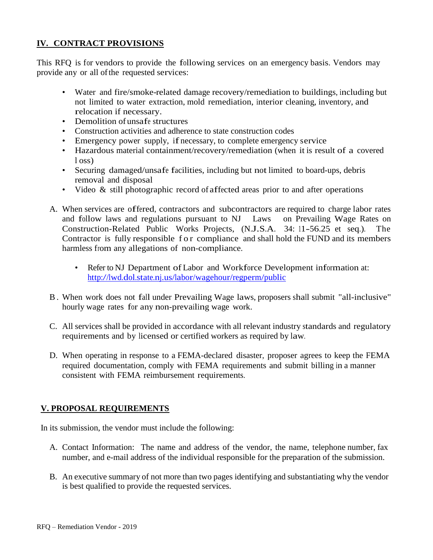## **IV. CONTRACT PROVISIONS**

This RFQ is for vendors to provide the following services on an emergency basis. Vendors may provide any or all ofthe requested services:

- Water and fire/smoke-related damage recovery/remediation to buildings, including but not limited to water extraction, mold remediation, interior cleaning, inventory, and relocation if necessary.
- Demolition of unsafe structures
- Construction activities and adherence to state construction codes
- Emergency power supply, if necessary, to complete emergency service
- Hazardous material containment/recovery/remediation (when it is result of a covered l oss)
- Securing damaged/unsafe facilities, including but not limited to board-ups, debris removal and disposal
- Video & still photographic record of affected areas prior to and after operations
- A. When services are offered, contractors and subcontractors are required to charge labor rates and follow laws and regulations pursuant to NJ Laws on Prevailing Wage Rates on Construction-Related Public Works Projects, (N.J.S.A. 34: 11-56.25 et seq.). The Contractor is fully responsible f o r compliance and shall hold the FUND and its members harmless from any allegations of non-compliance.
	- Refer to NJ Department of Labor and Workforce Development information at: <http://lwd.dol.state.nj.us/labor/wagehour/regperm/public>
- B . When work does not fall under Prevailing Wage laws, proposers shall submit "all-inclusive" hourly wage rates for any non-prevailing wage work.
- C. All services shall be provided in accordance with all relevant industry standards and regulatory requirements and by licensed or certified workers as required by law.
- D. When operating in response to a FEMA-declared disaster, proposer agrees to keep the FEMA required documentation, comply with FEMA requirements and submit billing in a manner consistent with FEMA reimbursement requirements.

## **V. PROPOSAL REQUIREMENTS**

In its submission, the vendor must include the following:

- A. Contact Information: The name and address of the vendor, the name, telephone number, fax number, and e-mail address of the individual responsible for the preparation of the submission.
- B. An executive summary of not more than two pages identifying and substantiating why the vendor is best qualified to provide the requested services.